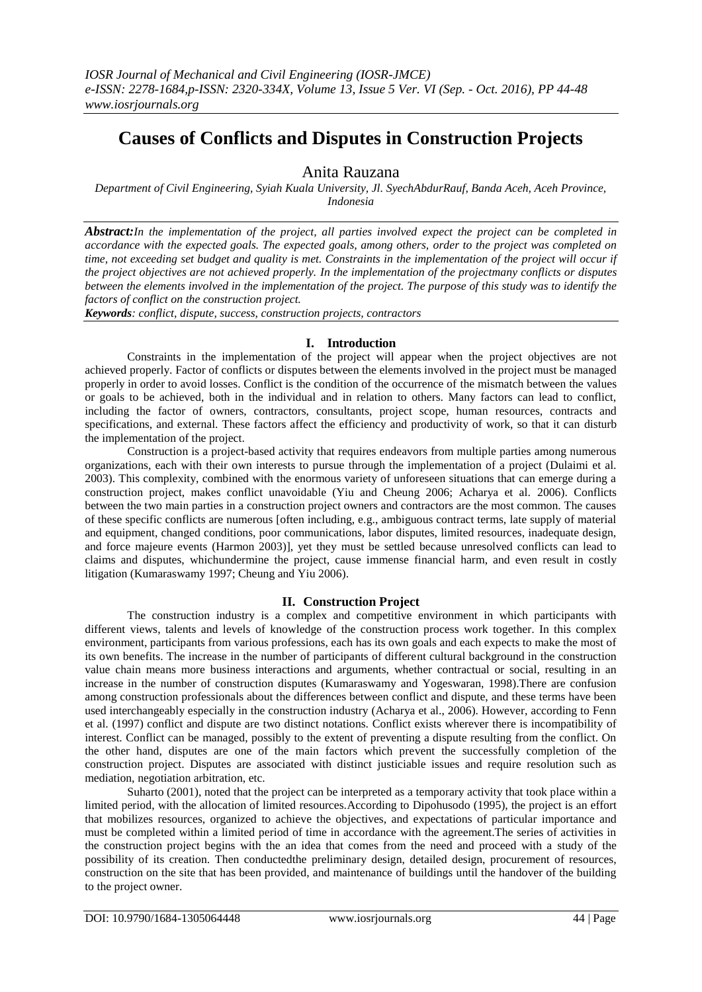# **Causes of Conflicts and Disputes in Construction Projects**

# Anita Rauzana

*Department of Civil Engineering, Syiah Kuala University, Jl. SyechAbdurRauf, Banda Aceh, Aceh Province, Indonesia*

*Abstract:In the implementation of the project, all parties involved expect the project can be completed in accordance with the expected goals. The expected goals, among others, order to the project was completed on time, not exceeding set budget and quality is met. Constraints in the implementation of the project will occur if the project objectives are not achieved properly. In the implementation of the projectmany conflicts or disputes between the elements involved in the implementation of the project. The purpose of this study was to identify the factors of conflict on the construction project.*

*Keywords: conflict, dispute, success, construction projects, contractors*

# **I. Introduction**

Constraints in the implementation of the project will appear when the project objectives are not achieved properly. Factor of conflicts or disputes between the elements involved in the project must be managed properly in order to avoid losses. Conflict is the condition of the occurrence of the mismatch between the values or goals to be achieved, both in the individual and in relation to others. Many factors can lead to conflict, including the factor of owners, contractors, consultants, project scope, human resources, contracts and specifications, and external. These factors affect the efficiency and productivity of work, so that it can disturb the implementation of the project.

Construction is a project-based activity that requires endeavors from multiple parties among numerous organizations, each with their own interests to pursue through the implementation of a project (Dulaimi et al. 2003). This complexity, combined with the enormous variety of unforeseen situations that can emerge during a construction project, makes conflict unavoidable (Yiu and Cheung 2006; Acharya et al. 2006). Conflicts between the two main parties in a construction project owners and contractors are the most common. The causes of these specific conflicts are numerous [often including, e.g., ambiguous contract terms, late supply of material and equipment, changed conditions, poor communications, labor disputes, limited resources, inadequate design, and force majeure events (Harmon 2003)], yet they must be settled because unresolved conflicts can lead to claims and disputes, whichundermine the project, cause immense financial harm, and even result in costly litigation (Kumaraswamy 1997; Cheung and Yiu 2006).

# **II. Construction Project**

The construction industry is a complex and competitive environment in which participants with different views, talents and levels of knowledge of the construction process work together. In this complex environment, participants from various professions, each has its own goals and each expects to make the most of its own benefits. The increase in the number of participants of different cultural background in the construction value chain means more business interactions and arguments, whether contractual or social, resulting in an increase in the number of construction disputes (Kumaraswamy and Yogeswaran, 1998).There are confusion among construction professionals about the differences between conflict and dispute, and these terms have been used interchangeably especially in the construction industry (Acharya et al., 2006). However, according to Fenn et al. (1997) conflict and dispute are two distinct notations. Conflict exists wherever there is incompatibility of interest. Conflict can be managed, possibly to the extent of preventing a dispute resulting from the conflict. On the other hand, disputes are one of the main factors which prevent the successfully completion of the construction project. Disputes are associated with distinct justiciable issues and require resolution such as mediation, negotiation arbitration, etc.

Suharto (2001), noted that the project can be interpreted as a temporary activity that took place within a limited period, with the allocation of limited resources.According to Dipohusodo (1995), the project is an effort that mobilizes resources, organized to achieve the objectives, and expectations of particular importance and must be completed within a limited period of time in accordance with the agreement.The series of activities in the construction project begins with the an idea that comes from the need and proceed with a study of the possibility of its creation. Then conductedthe preliminary design, detailed design, procurement of resources, construction on the site that has been provided, and maintenance of buildings until the handover of the building to the project owner.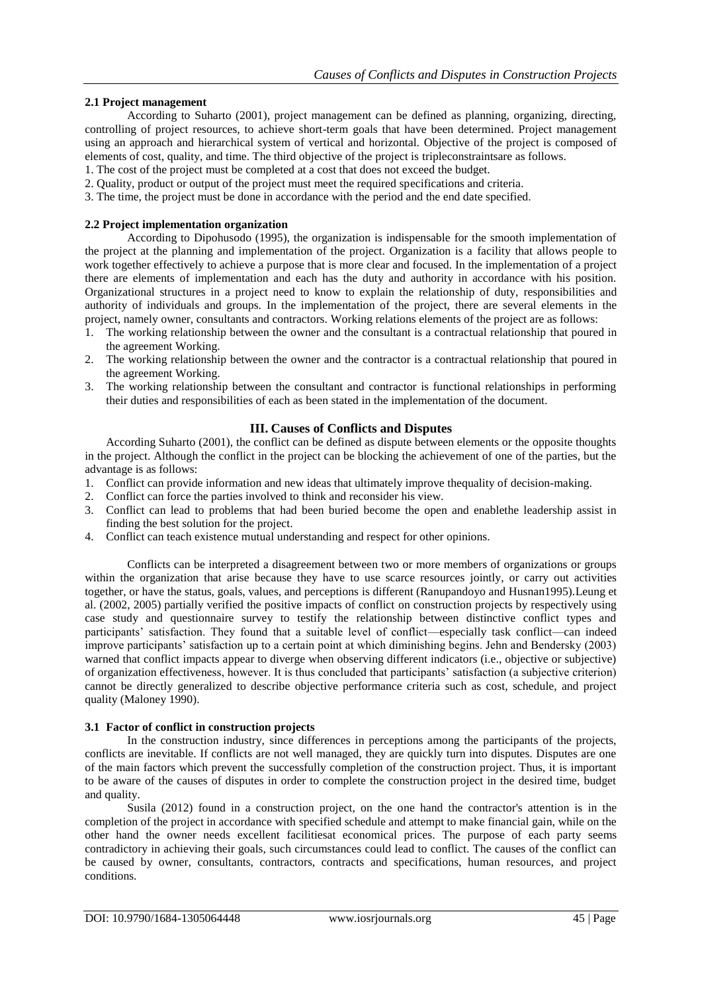# **2.1 Project management**

According to Suharto (2001), project management can be defined as planning, organizing, directing, controlling of project resources, to achieve short-term goals that have been determined. Project management using an approach and hierarchical system of vertical and horizontal. Objective of the project is composed of elements of cost, quality, and time. The third objective of the project is tripleconstraintsare as follows.

- 1. The cost of the project must be completed at a cost that does not exceed the budget.
- 2. Quality, product or output of the project must meet the required specifications and criteria.
- 3. The time, the project must be done in accordance with the period and the end date specified.

### **2.2 Project implementation organization**

According to Dipohusodo (1995), the organization is indispensable for the smooth implementation of the project at the planning and implementation of the project. Organization is a facility that allows people to work together effectively to achieve a purpose that is more clear and focused. In the implementation of a project there are elements of implementation and each has the duty and authority in accordance with his position. Organizational structures in a project need to know to explain the relationship of duty, responsibilities and authority of individuals and groups. In the implementation of the project, there are several elements in the project, namely owner, consultants and contractors. Working relations elements of the project are as follows:

- 1. The working relationship between the owner and the consultant is a contractual relationship that poured in the agreement Working.
- 2. The working relationship between the owner and the contractor is a contractual relationship that poured in the agreement Working.
- 3. The working relationship between the consultant and contractor is functional relationships in performing their duties and responsibilities of each as been stated in the implementation of the document.

### **III. Causes of Conflicts and Disputes**

According Suharto (2001), the conflict can be defined as dispute between elements or the opposite thoughts in the project. Although the conflict in the project can be blocking the achievement of one of the parties, but the advantage is as follows:

- 1. Conflict can provide information and new ideas that ultimately improve thequality of decision-making.
- 2. Conflict can force the parties involved to think and reconsider his view.
- 3. Conflict can lead to problems that had been buried become the open and enablethe leadership assist in finding the best solution for the project.
- 4. Conflict can teach existence mutual understanding and respect for other opinions.

Conflicts can be interpreted a disagreement between two or more members of organizations or groups within the organization that arise because they have to use scarce resources jointly, or carry out activities together, or have the status, goals, values, and perceptions is different (Ranupandoyo and Husnan1995).Leung et al. (2002, 2005) partially verified the positive impacts of conflict on construction projects by respectively using case study and questionnaire survey to testify the relationship between distinctive conflict types and participants' satisfaction. They found that a suitable level of conflict—especially task conflict—can indeed improve participants' satisfaction up to a certain point at which diminishing begins. Jehn and Bendersky (2003) warned that conflict impacts appear to diverge when observing different indicators (i.e., objective or subjective) of organization effectiveness, however. It is thus concluded that participants' satisfaction (a subjective criterion) cannot be directly generalized to describe objective performance criteria such as cost, schedule, and project quality (Maloney 1990).

### **3.1 Factor of conflict in construction projects**

In the construction industry, since differences in perceptions among the participants of the projects, conflicts are inevitable. If conflicts are not well managed, they are quickly turn into disputes. Disputes are one of the main factors which prevent the successfully completion of the construction project. Thus, it is important to be aware of the causes of disputes in order to complete the construction project in the desired time, budget and quality.

Susila (2012) found in a construction project, on the one hand the contractor's attention is in the completion of the project in accordance with specified schedule and attempt to make financial gain, while on the other hand the owner needs excellent facilitiesat economical prices. The purpose of each party seems contradictory in achieving their goals, such circumstances could lead to conflict. The causes of the conflict can be caused by owner, consultants, contractors, contracts and specifications, human resources, and project conditions.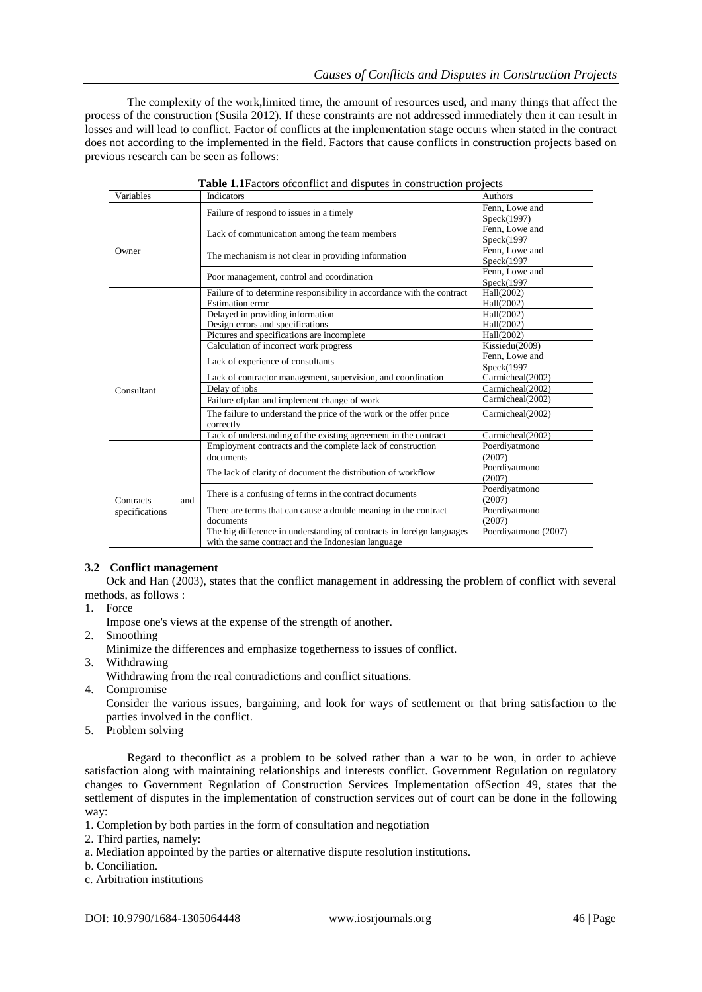The complexity of the work,limited time, the amount of resources used, and many things that affect the process of the construction (Susila 2012). If these constraints are not addressed immediately then it can result in losses and will lead to conflict. Factor of conflicts at the implementation stage occurs when stated in the contract does not according to the implemented in the field. Factors that cause conflicts in construction projects based on previous research can be seen as follows:

| <b>rable 1.1</b> actors of commet and disputes in construction projects |                                                                        |                      |
|-------------------------------------------------------------------------|------------------------------------------------------------------------|----------------------|
| Variables                                                               | <b>Indicators</b>                                                      | Authors              |
| Owner                                                                   | Failure of respond to issues in a timely                               | Fenn, Lowe and       |
|                                                                         |                                                                        | Speck(1997)          |
|                                                                         | Lack of communication among the team members                           | Fenn, Lowe and       |
|                                                                         |                                                                        | Speck(1997)          |
|                                                                         | The mechanism is not clear in providing information                    | Fenn, Lowe and       |
|                                                                         |                                                                        | Speck(1997)          |
|                                                                         | Poor management, control and coordination                              | Fenn, Lowe and       |
|                                                                         |                                                                        | Speck(1997)          |
|                                                                         | Failure of to determine responsibility in accordance with the contract | Hall(2002)           |
|                                                                         | <b>Estimation</b> error                                                | Hall(2002)           |
|                                                                         | Delayed in providing information                                       | Hall(2002)           |
|                                                                         | Design errors and specifications                                       | Hall(2002)           |
|                                                                         | Pictures and specifications are incomplete                             | Hall(2002)           |
|                                                                         | Calculation of incorrect work progress                                 | Kissiedu(2009)       |
| Consultant                                                              | Lack of experience of consultants                                      | Fenn, Lowe and       |
|                                                                         |                                                                        | Speck(1997)          |
|                                                                         | Lack of contractor management, supervision, and coordination           | Carmicheal(2002)     |
|                                                                         | Delay of jobs                                                          | Carmicheal(2002)     |
|                                                                         | Failure ofplan and implement change of work                            | Carmicheal(2002)     |
|                                                                         | The failure to understand the price of the work or the offer price     | Carmicheal(2002)     |
|                                                                         | correctly                                                              |                      |
|                                                                         | Lack of understanding of the existing agreement in the contract        | Carmicheal(2002)     |
|                                                                         | Employment contracts and the complete lack of construction             | Poerdiyatmono        |
|                                                                         | documents                                                              | (2007)               |
| Contracts<br>and<br>specifications                                      | The lack of clarity of document the distribution of workflow           | Poerdiyatmono        |
|                                                                         |                                                                        | (2007)               |
|                                                                         | There is a confusing of terms in the contract documents                | Poerdiyatmono        |
|                                                                         |                                                                        | (2007)               |
|                                                                         | There are terms that can cause a double meaning in the contract        | Poerdiyatmono        |
|                                                                         | documents                                                              | (2007)               |
|                                                                         | The big difference in understanding of contracts in foreign languages  | Poerdiyatmono (2007) |
|                                                                         | with the same contract and the Indonesian language                     |                      |

# **Table 1.1**Factors ofconflict and disputes in construction projects

### **3.2 Conflict management**

methods, as follows : Ock and Han (2003), states that the conflict management in addressing the problem of conflict with several

- 1. Force
	- Impose one's views at the expense of the strength of another.
- 2. Smoothing
	- Minimize the differences and emphasize togetherness to issues of conflict.
- 3. Withdrawing
	- Withdrawing from the real contradictions and conflict situations.
- 4. Compromise

Consider the various issues, bargaining, and look for ways of settlement or that bring satisfaction to the parties involved in the conflict.

5. Problem solving

Regard to theconflict as a problem to be solved rather than a war to be won, in order to achieve satisfaction along with maintaining relationships and interests conflict. Government Regulation on regulatory changes to Government Regulation of Construction Services Implementation ofSection 49, states that the settlement of disputes in the implementation of construction services out of court can be done in the following way:

- 1. Completion by both parties in the form of consultation and negotiation
- 2. Third parties, namely:
- a. Mediation appointed by the parties or alternative dispute resolution institutions.
- b. Conciliation.
- c. Arbitration institutions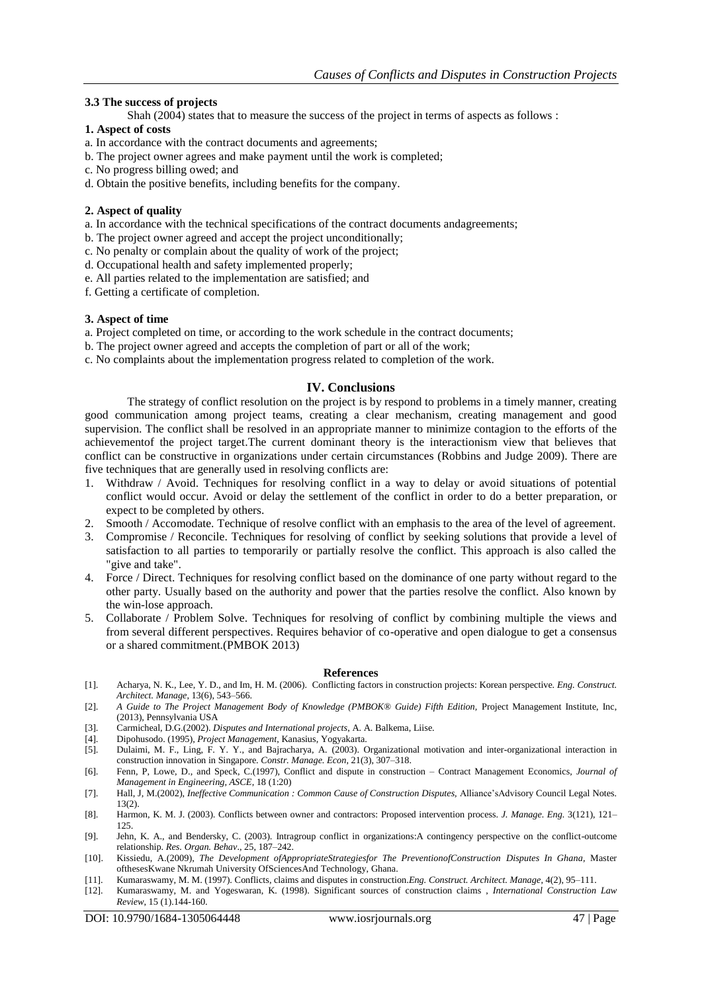### **3.3 The success of projects**

Shah (2004) states that to measure the success of the project in terms of aspects as follows :

### **1. Aspect of costs**

- a. In accordance with the contract documents and agreements;
- b. The project owner agrees and make payment until the work is completed;
- c. No progress billing owed; and
- d. Obtain the positive benefits, including benefits for the company.

#### **2. Aspect of quality**

- a. In accordance with the technical specifications of the contract documents andagreements;
- b. The project owner agreed and accept the project unconditionally;
- c. No penalty or complain about the quality of work of the project;
- d. Occupational health and safety implemented properly;
- e. All parties related to the implementation are satisfied; and
- f. Getting a certificate of completion.

### **3. Aspect of time**

- a. Project completed on time, or according to the work schedule in the contract documents;
- b. The project owner agreed and accepts the completion of part or all of the work;
- c. No complaints about the implementation progress related to completion of the work.

### **IV. Conclusions**

The strategy of conflict resolution on the project is by respond to problems in a timely manner, creating good communication among project teams, creating a clear mechanism, creating management and good supervision. The conflict shall be resolved in an appropriate manner to minimize contagion to the efforts of the achievementof the project target.The current dominant theory is the interactionism view that believes that conflict can be constructive in organizations under certain circumstances (Robbins and Judge 2009). There are five techniques that are generally used in resolving conflicts are:

- 1. Withdraw / Avoid. Techniques for resolving conflict in a way to delay or avoid situations of potential conflict would occur. Avoid or delay the settlement of the conflict in order to do a better preparation, or expect to be completed by others.
- 2. Smooth / Accomodate. Technique of resolve conflict with an emphasis to the area of the level of agreement.
- 3. Compromise / Reconcile. Techniques for resolving of conflict by seeking solutions that provide a level of satisfaction to all parties to temporarily or partially resolve the conflict. This approach is also called the "give and take".
- 4. Force / Direct. Techniques for resolving conflict based on the dominance of one party without regard to the other party. Usually based on the authority and power that the parties resolve the conflict. Also known by the win-lose approach.
- 5. Collaborate / Problem Solve. Techniques for resolving of conflict by combining multiple the views and from several different perspectives. Requires behavior of co-operative and open dialogue to get a consensus or a shared commitment.(PMBOK 2013)

#### **References**

- [1]. Acharya, N. K., Lee, Y. D., and Im, H. M. (2006). Conflicting factors in construction projects: Korean perspective. *Eng. Construct. Architect. Manage*, 13(6), 543–566.
- [2]. A Guide to The Project Management Body of Knowledge (PMBOK® Guide) Fifth Edition, Project Management Institute, Inc, (2013), Pennsylvania USA
- [3]. Carmicheal, D.G.(2002). *Disputes and International projects*, A. A. Balkema, Liise.
- [4]. Dipohusodo. (1995), *Project Management*, Kanasius, Yogyakarta.
- [5]. Dulaimi, M. F., Ling, F. Y. Y., and Bajracharya, A. (2003). Organizational motivation and inter-organizational interaction in construction innovation in Singapore. *Constr. Manage. Econ*, 21(3), 307–318.
- [6]. Fenn, P, Lowe, D., and Speck, C.(1997), Conflict and dispute in construction Contract Management Economics*, Journal of Management in Engineering, ASCE*, 18 (1:20)
- [7]. Hall, J, M.(2002), *Ineffective Communication : Common Cause of Construction Disputes,* Alliance'sAdvisory Council Legal Notes. 13(2).
- [8]. Harmon, K. M. J. (2003). Conflicts between owner and contractors: Proposed intervention process. *J. Manage. Eng.* 3(121), 121– 125.
- [9]. Jehn, K. A., and Bendersky, C. (2003). Intragroup conflict in organizations:A contingency perspective on the conflict-outcome relationship. *Res. Organ. Behav*., 25, 187–242.
- [10]. Kissiedu, A.(2009), *The Development ofAppropriateStrategiesfor The PreventionofConstruction Disputes In Ghana,* Master ofthesesKwane Nkrumah University OfSciencesAnd Technology, Ghana.
- [11]. Kumaraswamy, M. M. (1997). Conflicts, claims and disputes in construction.*Eng. Construct. Architect. Manage*, 4(2), 95–111.
- [12]. Kumaraswamy, M. and Yogeswaran, K. (1998). Significant sources of construction claims , *International Construction Law Review*, 15 (1).144-160.